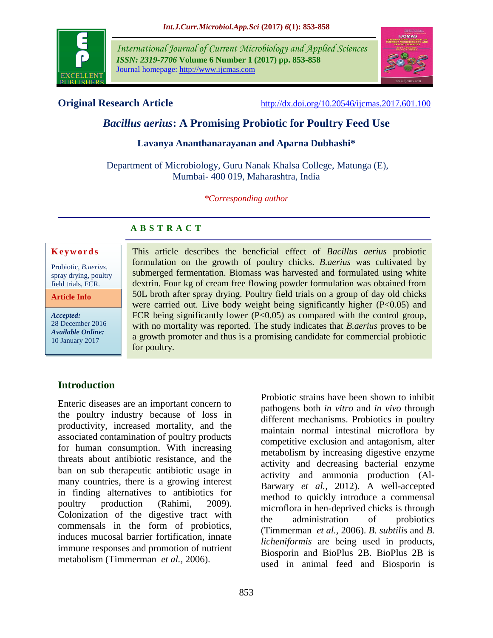

*International Journal of Current Microbiology and Applied Sciences ISSN: 2319-7706* **Volume 6 Number 1 (2017) pp. 853-858** Journal homepage: http://www.ijcmas.com



**Original Research Article** <http://dx.doi.org/10.20546/ijcmas.2017.601.100>

# *Bacillus aerius***: A Promising Probiotic for Poultry Feed Use**

### **Lavanya Ananthanarayanan and Aparna Dubhashi\***

Department of Microbiology, Guru Nanak Khalsa College, Matunga (E), Mumbai- 400 019, Maharashtra, India

*\*Corresponding author*

# **A B S T R A C T**

#### **K e y w o r d s**

Probiotic, *B.aerius,* spray drying, poultry field trials, FCR.

**Article Info**

*Accepted:*  28 December 2016 *Available Online:* 10 January 2017

This article describes the beneficial effect of *Bacillus aerius* probiotic formulation on the growth of poultry chicks. *B.aerius* was cultivated by submerged fermentation. Biomass was harvested and formulated using white dextrin. Four kg of cream free flowing powder formulation was obtained from 50L broth after spray drying. Poultry field trials on a group of day old chicks were carried out. Live body weight being significantly higher  $(P<0.05)$  and FCR being significantly lower  $(P<0.05)$  as compared with the control group, with no mortality was reported. The study indicates that *B.aerius* proves to be a growth promoter and thus is a promising candidate for commercial probiotic for poultry.

# **Introduction**

Enteric diseases are an important concern to the poultry industry because of loss in productivity, increased mortality, and the associated contamination of poultry products for human consumption. With increasing threats about antibiotic resistance, and the ban on sub therapeutic antibiotic usage in many countries, there is a growing interest in finding alternatives to antibiotics for poultry production (Rahimi, 2009). Colonization of the digestive tract with commensals in the form of probiotics, induces mucosal barrier fortification, innate immune responses and promotion of nutrient metabolism (Timmerman *et al.,* 2006).

Probiotic strains have been shown to inhibit pathogens both *in vitro* and *in vivo* through different mechanisms. Probiotics in poultry maintain normal intestinal microflora by competitive exclusion and antagonism, alter metabolism by increasing digestive enzyme activity and decreasing bacterial enzyme activity and ammonia production (Al-Barwary *et al.,* 2012). A well-accepted method to quickly introduce a commensal microflora in hen-deprived chicks is through the administration of probiotics (Timmerman *et al.,* 2006). *B. subtilis* and *B. licheniformis* are being used in products, Biosporin and BioPlus 2B. BioPlus 2B is used in animal feed and Biosporin is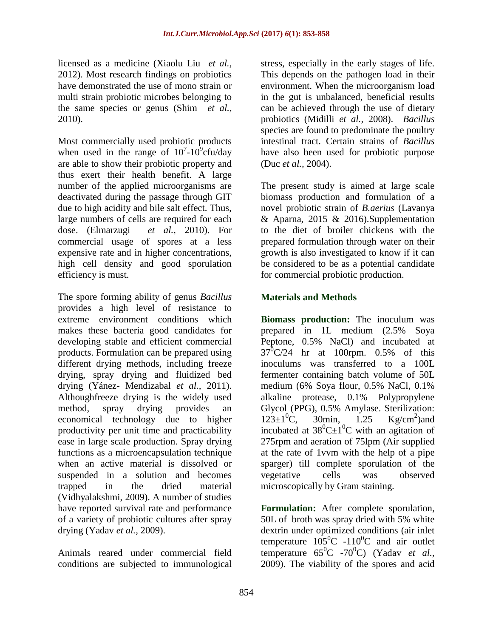licensed as a medicine (Xiaolu Liu *et al.,* 2012). Most research findings on probiotics have demonstrated the use of mono strain or multi strain probiotic microbes belonging to the same species or genus (Shim *et al.,* 2010).

Most commercially used probiotic products when used in the range of  $10^7$ - $10^9$ cfu/day are able to show their probiotic property and thus exert their health benefit. A large number of the applied microorganisms are deactivated during the passage through GIT due to high acidity and bile salt effect. Thus, large numbers of cells are required for each dose. (Elmarzugi *et al.,* 2010). For commercial usage of spores at a less expensive rate and in higher concentrations, high cell density and good sporulation efficiency is must.

The spore forming ability of genus *Bacillus* provides a high level of resistance to extreme environment conditions which makes these bacteria good candidates for developing stable and efficient commercial products. Formulation can be prepared using different drying methods, including freeze drying, spray drying and fluidized bed drying (Yánez- Mendizabal *et al.,* 2011). Althoughfreeze drying is the widely used method, spray drying provides an economical technology due to higher productivity per unit time and practicability ease in large scale production. Spray drying functions as a microencapsulation technique when an active material is dissolved or suspended in a solution and becomes trapped in the dried material (Vidhyalakshmi, 2009). A number of studies have reported survival rate and performance of a variety of probiotic cultures after spray drying (Yadav *et al.,* 2009).

Animals reared under commercial field conditions are subjected to immunological stress, especially in the early stages of life. This depends on the pathogen load in their environment. When the microorganism load in the gut is unbalanced, beneficial results can be achieved through the use of dietary probiotics (Midilli *et al.,* 2008). *Bacillus*  species are found to predominate the poultry intestinal tract. Certain strains of *Bacillus* have also been used for probiotic purpose (Duc *et al.,* 2004).

The present study is aimed at large scale biomass production and formulation of a novel probiotic strain of *B.aerius* (Lavanya & Aparna, 2015 & 2016).Supplementation to the diet of broiler chickens with the prepared formulation through water on their growth is also investigated to know if it can be considered to be as a potential candidate for commercial probiotic production.

# **Materials and Methods**

**Biomass production:** The inoculum was prepared in 1L medium (2.5% Soya Peptone, 0.5% NaCl) and incubated at  $37^0$ C/24 hr at 100rpm. 0.5% of this inoculums was transferred to a 100L fermenter containing batch volume of 50L medium (6% Soya flour, 0.5% NaCl, 0.1% alkaline protease, 0.1% Polypropylene Glycol (PPG), 0.5% Amylase. Sterilization:  $123 \pm 1^{0}$ C, 30min, 1.25 Kg/cm<sup>2</sup>)and incubated at  $38^0C \pm 1^0C$  with an agitation of 275rpm and aeration of 75lpm (Air supplied at the rate of 1vvm with the help of a pipe sparger) till complete sporulation of the vegetative cells was observed microscopically by Gram staining.

**Formulation:** After complete sporulation, 50L of broth was spray dried with 5% white dextrin under optimized conditions (air inlet temperature  $105^{\circ}$ C -110<sup>°</sup>C and air outlet temperature 65<sup>0</sup>C -70<sup>0</sup>C) (Yadav *et al.*, 2009). The viability of the spores and acid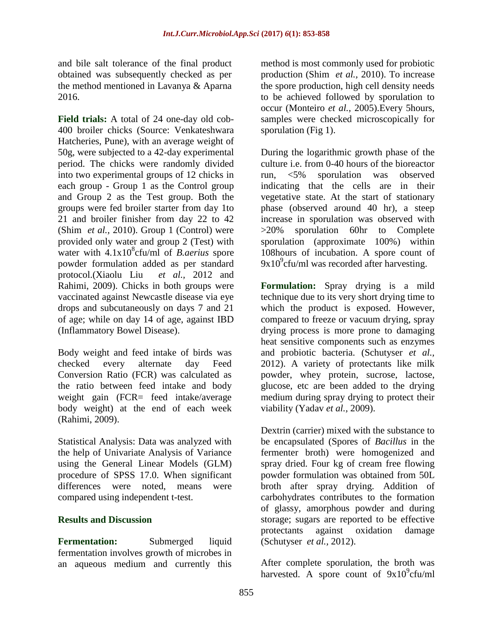and bile salt tolerance of the final product obtained was subsequently checked as per the method mentioned in Lavanya & Aparna 2016.

**Field trials:** A total of 24 one-day old cob-400 broiler chicks (Source: Venkateshwara Hatcheries, Pune), with an average weight of 50g, were subjected to a 42-day experimental period. The chicks were randomly divided into two experimental groups of 12 chicks in each group - Group 1 as the Control group and Group 2 as the Test group. Both the groups were fed broiler starter from day 1to 21 and broiler finisher from day 22 to 42 (Shim *et al.,* 2010). Group 1 (Control) were provided only water and group 2 (Test) with water with  $4.1x10^8$ cfu/ml of *B.aerius* spore powder formulation added as per standard protocol.(Xiaolu Liu *et al.,* 2012 and Rahimi, 2009). Chicks in both groups were vaccinated against Newcastle disease via eye drops and subcutaneously on days 7 and 21 of age; while on day 14 of age, against IBD (Inflammatory Bowel Disease).

Body weight and feed intake of birds was checked every alternate day Feed Conversion Ratio (FCR) was calculated as the ratio between feed intake and body weight gain (FCR= feed intake/average body weight) at the end of each week (Rahimi, 2009).

Statistical Analysis: Data was analyzed with the help of Univariate Analysis of Variance using the General Linear Models (GLM) procedure of SPSS 17.0. When significant differences were noted, means were compared using independent t-test.

# **Results and Discussion**

**Fermentation:** Submerged liquid fermentation involves growth of microbes in an aqueous medium and currently this

method is most commonly used for probiotic production (Shim *et al.,* 2010). To increase the spore production, high cell density needs to be achieved followed by sporulation to occur [\(Monteiro](http://www.ncbi.nlm.nih.gov/pubmed/?term=Monteiro%20SM%5BAuthor%5D&cauthor=true&cauthor_uid=16080679) *et al.,* 2005).Every 5hours, samples were checked microscopically for sporulation (Fig 1).

During the logarithmic growth phase of the culture i.e. from 0-40 hours of the bioreactor run, <5% sporulation was observed indicating that the cells are in their vegetative state. At the start of stationary phase (observed around 40 hr), a steep increase in sporulation was observed with >20% sporulation 60hr to Complete sporulation (approximate 100%) within 108hours of incubation. A spore count of  $9x10^9$ cfu/ml was recorded after harvesting.

**Formulation:** Spray drying is a mild technique due to its very short drying time to which the product is exposed. However, compared to freeze or vacuum drying, spray drying process is more prone to damaging heat sensitive components such as enzymes and probiotic bacteria. (Schutyser *et al.,* 2012). A variety of protectants like milk powder, whey protein, sucrose, lactose, glucose, etc are been added to the drying medium during spray drying to protect their viability (Yadav *et al.,* 2009).

Dextrin (carrier) mixed with the substance to be encapsulated (Spores of *Bacillus* in the fermenter broth) were homogenized and spray dried. Four kg of cream free flowing powder formulation was obtained from 50L broth after spray drying. Addition of carbohydrates contributes to the formation of glassy, amorphous powder and during storage; sugars are reported to be effective protectants against oxidation damage (Schutyser *et al.,* 2012).

After complete sporulation, the broth was harvested. A spore count of  $9x10^9$ cfu/ml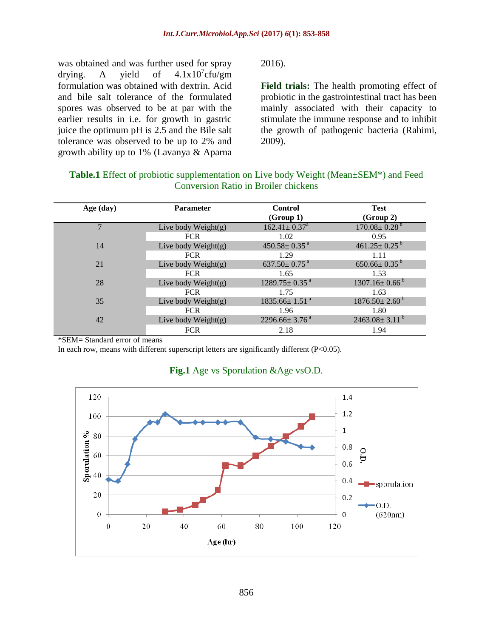was obtained and was further used for spray drying. A yield of  $4.1 \times 10^{7}$ cfu/gm formulation was obtained with dextrin. Acid and bile salt tolerance of the formulated spores was observed to be at par with the earlier results in i.e. for growth in gastric juice the optimum pH is 2.5 and the Bile salt tolerance was observed to be up to 2% and growth ability up to 1% (Lavanya & Aparna

2016).

**Field trials:** The health promoting effect of probiotic in the gastrointestinal tract has been mainly associated with their capacity to stimulate the immune response and to inhibit the growth of pathogenic bacteria (Rahimi, 2009).

| <b>Table.1</b> Effect of probiotic supplementation on Live body Weight (Mean $\pm$ SEM <sup>*</sup> ) and Feed |
|----------------------------------------------------------------------------------------------------------------|
| Conversion Ratio in Broiler chickens                                                                           |

| Age (day) | <b>Parameter</b>      | <b>Control</b>                  | <b>Test</b>                     |
|-----------|-----------------------|---------------------------------|---------------------------------|
|           |                       | (Group 1)                       | (Group 2)                       |
|           | Live body $Weight(g)$ | $162.41 \pm 0.37$ <sup>a</sup>  | $170.08 \pm 0.28$ <sup>b</sup>  |
|           | <b>FCR</b>            | 1.02                            | 0.95                            |
| 14        | Live body $Weight(g)$ | $450.58 \pm 0.35$ <sup>a</sup>  | $461.25 \pm 0.25$ <sup>b</sup>  |
|           | <b>FCR</b>            | 1.29                            | 1.11                            |
| 21        | Live body $Weight(g)$ | $637.50 \pm 0.75$ <sup>a</sup>  | $650.66 \pm 0.35^{b}$           |
|           | <b>FCR</b>            | 1.65                            | 1.53                            |
| 28        | Live body $Weight(g)$ | $1289.75 \pm 0.35$ <sup>a</sup> | $1307.16 \pm 0.66^{\mathrm{b}}$ |
|           | <b>FCR</b>            | 1.75                            | 1.63                            |
| 35        | Live body $Weight(g)$ | $1835.66 \pm 1.51$ <sup>a</sup> | $1876.50 \pm 2.60^{\mathrm{b}}$ |
|           | <b>FCR</b>            | 1.96                            | 1.80                            |
| 42        | Live body $Weight(g)$ | $2296.66 \pm 3.76$ <sup>a</sup> | $2463.08 \pm 3.11^{b}$          |
|           | <b>FCR</b>            | 2.18                            | 1.94                            |

\*SEM= Standard error of means

In each row, means with different superscript letters are significantly different (P<0.05).



# **Fig.1** Age vs Sporulation &Age vsO.D.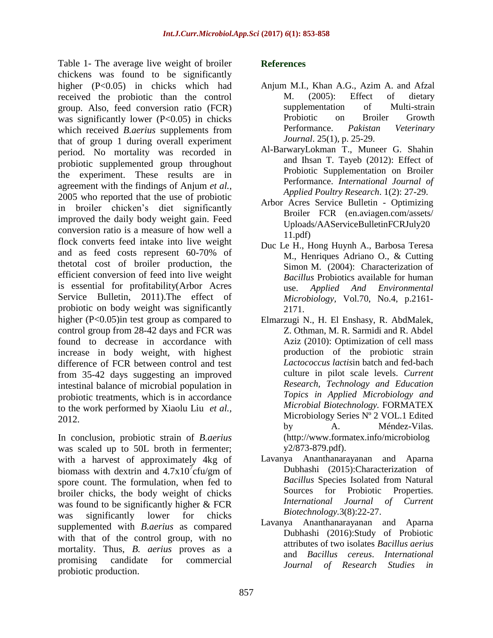Table 1- The average live weight of broiler chickens was found to be significantly higher (P<0.05) in chicks which had received the probiotic than the control group. Also, feed conversion ratio (FCR) was significantly lower  $(P<0.05)$  in chicks which received *B.aerius* supplements from that of group 1 during overall experiment period. No mortality was recorded in probiotic supplemented group throughout the experiment. These results are in agreement with the findings of Anjum *et al.,* 2005 who reported that the use of probiotic in broiler chicken's diet significantly improved the daily body weight gain. Feed conversion ratio is a measure of how well a flock converts feed intake into live weight and as feed costs represent 60-70% of thetotal cost of broiler production, the efficient conversion of feed into live weight is essential for profitability(Arbor Acres Service Bulletin, 2011).The effect of probiotic on body weight was significantly higher (P<0.05)in test group as compared to control group from 28-42 days and FCR was found to decrease in accordance with increase in body weight, with highest difference of FCR between control and test from 35-42 days suggesting an improved intestinal balance of microbial population in probiotic treatments, which is in accordance to the work performed by Xiaolu Liu *et al.,* 2012.

In conclusion, probiotic strain of *B.aerius* was scaled up to 50L broth in fermenter; with a harvest of approximately 4kg of biomass with dextrin and  $4.7 \times 10^{7}$ cfu/gm of spore count. The formulation, when fed to broiler chicks, the body weight of chicks was found to be significantly higher & FCR was significantly lower for chicks supplemented with *B.aerius* as compared with that of the control group, with no mortality. Thus, *B. aerius* proves as a promising candidate for commercial probiotic production.

# **References**

- Anjum M.I., Khan A.G., Azim A. and Afzal M. (2005): Effect of dietary supplementation of Multi-strain Probiotic on Broiler Growth Performance. *Pakistan Veterinary Journal*. 25(1), p. 25-29.
- Al-BarwaryLokman T., Muneer G. Shahin and Ihsan T. Tayeb (2012): Effect of Probiotic Supplementation on Broiler Performance. *International Journal of Applied Poultry Research*. 1(2): 27-29.
- Arbor Acres Service Bulletin Optimizing Broiler FCR (en.aviagen.com/assets/ Uploads/AAServiceBulletinFCRJuly20 11.pdf)
- Duc Le H., Hong Huynh A., Barbosa Teresa M., Henriques Adriano O., & Cutting Simon M. (2004): Characterization of *Bacillus* Probiotics available for human use. *Applied And Environmental Microbiology,* Vol.70, No.4, p.2161- 2171.
- Elmarzugi N., H. El Enshasy, R. AbdMalek, Z. Othman, M. R. Sarmidi and R. Abdel Aziz (2010): Optimization of cell mass production of the probiotic strain *Lactococcus lactis*in batch and fed-bach culture in pilot scale levels. *Current Research, Technology and Education Topics in Applied Microbiology and Microbial Biotechnology.* FORMATEX Microbiology Series Nº 2 VOL.1 Edited by A. Méndez-Vilas. (http://www.formatex.info/microbiolog y2/873-879.pdf).
- Lavanya Ananthanarayanan and Aparna Dubhashi (2015):Characterization of *Bacillus* Species Isolated from Natural Sources for Probiotic Properties. *International Journal of Current Biotechnology.*3(8):22-27.
- Lavanya Ananthanarayanan and Aparna Dubhashi (2016):Study of Probiotic attributes of two isolates *Bacillus aerius* and *Bacillus cereus*. *International Journal of Research Studies in*